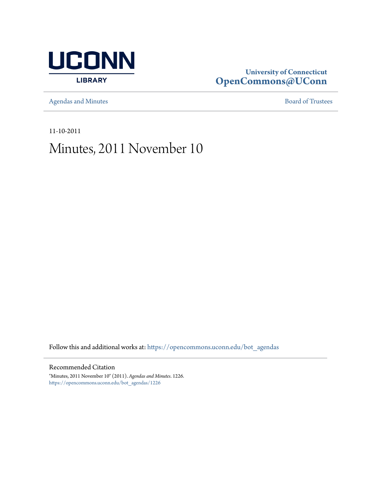

# **University of Connecticut [OpenCommons@UConn](https://opencommons.uconn.edu?utm_source=opencommons.uconn.edu%2Fbot_agendas%2F1226&utm_medium=PDF&utm_campaign=PDFCoverPages)**

[Agendas and Minutes](https://opencommons.uconn.edu/bot_agendas?utm_source=opencommons.uconn.edu%2Fbot_agendas%2F1226&utm_medium=PDF&utm_campaign=PDFCoverPages) **[Board of Trustees](https://opencommons.uconn.edu/bot?utm_source=opencommons.uconn.edu%2Fbot_agendas%2F1226&utm_medium=PDF&utm_campaign=PDFCoverPages)** 

11-10-2011

# Minutes, 2011 November 10

Follow this and additional works at: [https://opencommons.uconn.edu/bot\\_agendas](https://opencommons.uconn.edu/bot_agendas?utm_source=opencommons.uconn.edu%2Fbot_agendas%2F1226&utm_medium=PDF&utm_campaign=PDFCoverPages)

# Recommended Citation

"Minutes, 2011 November 10" (2011). *Agendas and Minutes*. 1226. [https://opencommons.uconn.edu/bot\\_agendas/1226](https://opencommons.uconn.edu/bot_agendas/1226?utm_source=opencommons.uconn.edu%2Fbot_agendas%2F1226&utm_medium=PDF&utm_campaign=PDFCoverPages)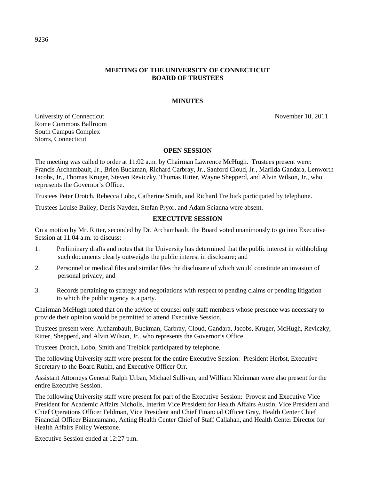# **MEETING OF THE UNIVERSITY OF CONNECTICUT BOARD OF TRUSTEES**

# **MINUTES**

University of Connecticut November 10, 2011 Rome Commons Ballroom South Campus Complex Storrs, Connecticut

# **OPEN SESSION**

The meeting was called to order at 11:02 a.m. by Chairman Lawrence McHugh. Trustees present were: Francis Archambault, Jr., Brien Buckman, Richard Carbray, Jr., Sanford Cloud, Jr., Marilda Gandara, Lenworth Jacobs, Jr., Thomas Kruger, Steven Reviczky, Thomas Ritter, Wayne Shepperd, and Alvin Wilson, Jr., who represents the Governor's Office.

Trustees Peter Drotch, Rebecca Lobo, Catherine Smith, and Richard Treibick participated by telephone.

Trustees Louise Bailey, Denis Nayden, Stefan Pryor, and Adam Scianna were absent.

#### **EXECUTIVE SESSION**

On a motion by Mr. Ritter, seconded by Dr. Archambault, the Board voted unanimously to go into Executive Session at 11:04 a.m. to discuss:

- 1. Preliminary drafts and notes that the University has determined that the public interest in withholding such documents clearly outweighs the public interest in disclosure; and
- 2. Personnel or medical files and similar files the disclosure of which would constitute an invasion of personal privacy; and
- 3. Records pertaining to strategy and negotiations with respect to pending claims or pending litigation to which the public agency is a party.

Chairman McHugh noted that on the advice of counsel only staff members whose presence was necessary to provide their opinion would be permitted to attend Executive Session.

Trustees present were: Archambault, Buckman, Carbray, Cloud, Gandara, Jacobs, Kruger, McHugh, Reviczky, Ritter, Shepperd, and Alvin Wilson, Jr., who represents the Governor's Office.

Trustees Drotch, Lobo, Smith and Treibick participated by telephone.

The following University staff were present for the entire Executive Session: President Herbst, Executive Secretary to the Board Rubin, and Executive Officer Orr.

Assistant Attorneys General Ralph Urban, Michael Sullivan, and William Kleinman were also present for the entire Executive Session.

The following University staff were present for part of the Executive Session: Provost and Executive Vice President for Academic Affairs Nicholls, Interim Vice President for Health Affairs Austin, Vice President and Chief Operations Officer Feldman, Vice President and Chief Financial Officer Gray, Health Center Chief Financial Officer Biancamano, Acting Health Center Chief of Staff Callahan, and Health Center Director for Health Affairs Policy Wetstone.

Executive Session ended at 12:27 p.m**.**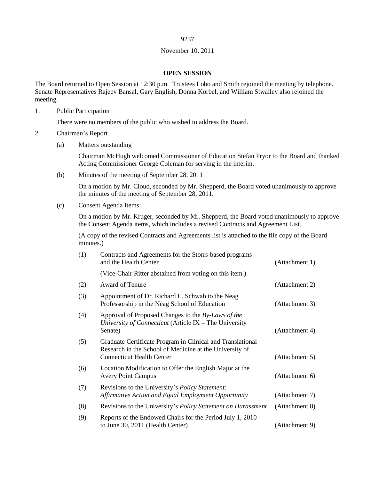#### 9237

#### November 10, 2011

#### **OPEN SESSION**

The Board returned to Open Session at 12:30 p.m. Trustees Lobo and Smith rejoined the meeting by telephone. Senate Representatives Rajeev Bansal, Gary English, Donna Korbel, and William Stwalley also rejoined the meeting.

1. Public Participation

There were no members of the public who wished to address the Board.

- 2. Chairman's Report
	- (a) Matters outstanding

Chairman McHugh welcomed Commissioner of Education Stefan Pryor to the Board and thanked Acting Commissioner George Coleman for serving in the interim.

(b) Minutes of the meeting of September 28, 2011

On a motion by Mr. Cloud, seconded by Mr. Shepperd, the Board voted unanimously to approve the minutes of the meeting of September 28, 2011.

(c) Consent Agenda Items:

On a motion by Mr. Kruger, seconded by Mr. Shepperd, the Board voted unanimously to approve the Consent Agenda items, which includes a revised Contracts and Agreement List.

(A copy of the revised Contracts and Agreements list is attached to the file copy of the Board minutes.)

| (1) | Contracts and Agreements for the Storrs-based programs<br>and the Health Center                                                                           | (Attachment 1) |
|-----|-----------------------------------------------------------------------------------------------------------------------------------------------------------|----------------|
|     | (Vice-Chair Ritter abstained from voting on this item.)                                                                                                   |                |
| (2) | Award of Tenure                                                                                                                                           | (Attachment 2) |
| (3) | Appointment of Dr. Richard L. Schwab to the Neag<br>Professorship in the Neag School of Education                                                         | (Attachment 3) |
| (4) | Approval of Proposed Changes to the By-Laws of the<br>University of Connecticut (Article IX - The University<br>Senate)                                   | (Attachment 4) |
| (5) | Graduate Certificate Program in Clinical and Translational<br>Research in the School of Medicine at the University of<br><b>Connecticut Health Center</b> | (Attachment 5) |
| (6) | Location Modification to Offer the English Major at the<br><b>Avery Point Campus</b>                                                                      | (Attachment 6) |
| (7) | Revisions to the University's Policy Statement:<br>Affirmative Action and Equal Employment Opportunity                                                    | (Attachment 7) |
| (8) | Revisions to the University's <i>Policy Statement on Harassment</i>                                                                                       | (Attachment 8) |
| (9) | Reports of the Endowed Chairs for the Period July 1, 2010<br>to June 30, 2011 (Health Center)                                                             | (Attachment 9) |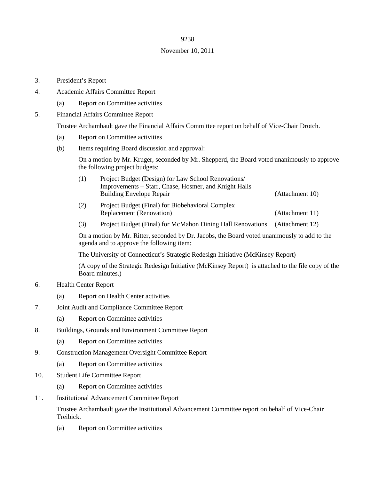# 9238

# November 10, 2011

- 3. President's Report
- 4. Academic Affairs Committee Report
	- (a) Report on Committee activities
- 5. Financial Affairs Committee Report

Trustee Archambault gave the Financial Affairs Committee report on behalf of Vice-Chair Drotch.

- (a) Report on Committee activities
- (b) Items requiring Board discussion and approval:

On a motion by Mr. Kruger, seconded by Mr. Shepperd, the Board voted unanimously to approve the following project budgets:

| (1) | Project Budget (Design) for Law School Renovations/   |                 |
|-----|-------------------------------------------------------|-----------------|
|     | Improvements – Starr, Chase, Hosmer, and Knight Halls |                 |
|     | <b>Building Envelope Repair</b>                       | (Attachment 10) |
| (2) | Project Budget (Final) for Biobehavioral Complex      |                 |
|     | <b>Replacement (Renovation)</b>                       | (Attachment 11) |

(3) Project Budget (Final) for McMahon Dining Hall Renovations (Attachment 12)

On a motion by Mr. Ritter, seconded by Dr. Jacobs, the Board voted unanimously to add to the agenda and to approve the following item:

The University of Connecticut's Strategic Redesign Initiative (McKinsey Report)

(A copy of the Strategic Redesign Initiative (McKinsey Report) is attached to the file copy of the Board minutes.)

- 6. Health Center Report
	- (a) Report on Health Center activities
- 7. Joint Audit and Compliance Committee Report
	- (a) Report on Committee activities
- 8. Buildings, Grounds and Environment Committee Report
	- (a) Report on Committee activities
- 9. Construction Management Oversight Committee Report
	- (a) Report on Committee activities
- 10. Student Life Committee Report
	- (a) Report on Committee activities
- 11. Institutional Advancement Committee Report

Trustee Archambault gave the Institutional Advancement Committee report on behalf of Vice-Chair Treibick.

(a) Report on Committee activities